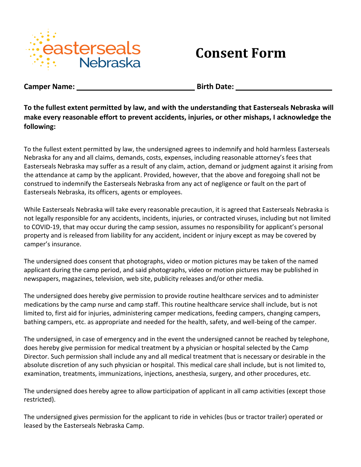

## **Consent Form**

**Camper Name: \_\_\_\_\_\_\_\_ \_\_\_\_ Birth Date: \_\_\_\_\_\_\_\_\_\_ \_\_\_\_\_\_\_\_\_\_ \_\_** 

**To the fullest extent permitted by law, and with the understanding that Easterseals Nebraska will make every reasonable effort to prevent accidents, injuries, or other mishaps, I acknowledge the following:** 

To the fullest extent permitted by law, the undersigned agrees to indemnify and hold harmless Easterseals Nebraska for any and all claims, demands, costs, expenses, including reasonable attorney's fees that Easterseals Nebraska may suffer as a result of any claim, action, demand or judgment against it arising from the attendance at camp by the applicant. Provided, however, that the above and foregoing shall not be construed to indemnify the Easterseals Nebraska from any act of negligence or fault on the part of Easterseals Nebraska, its officers, agents or employees.

While Easterseals Nebraska will take every reasonable precaution, it is agreed that Easterseals Nebraska is not legally responsible for any accidents, incidents, injuries, or contracted viruses, including but not limited to COVID-19, that may occur during the camp session, assumes no responsibility for applicant's personal property and is released from liability for any accident, incident or injury except as may be covered by camper's insurance.

The undersigned does consent that photographs, video or motion pictures may be taken of the named applicant during the camp period, and said photographs, video or motion pictures may be published in newspapers, magazines, television, web site, publicity releases and/or other media.

The undersigned does hereby give permission to provide routine healthcare services and to administer medications by the camp nurse and camp staff. This routine healthcare service shall include, but is not limited to, first aid for injuries, administering camper medications, feeding campers, changing campers, bathing campers, etc. as appropriate and needed for the health, safety, and well-being of the camper.

The undersigned, in case of emergency and in the event the undersigned cannot be reached by telephone, does hereby give permission for medical treatment by a physician or hospital selected by the Camp Director. Such permission shall include any and all medical treatment that is necessary or desirable in the absolute discretion of any such physician or hospital. This medical care shall include, but is not limited to, examination, treatments, immunizations, injections, anesthesia, surgery, and other procedures, etc.

The undersigned does hereby agree to allow participation of applicant in all camp activities (except those restricted).

The undersigned gives permission for the applicant to ride in vehicles (bus or tractor trailer) operated or leased by the Easterseals Nebraska Camp.